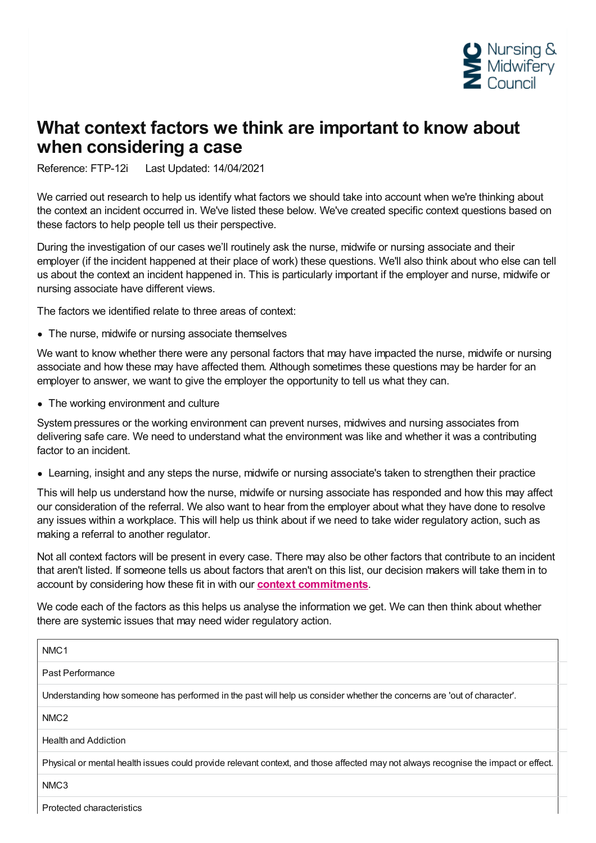

## **What context factors we think are important to know about when considering a case**

Reference: FTP-12i Last Updated: 14/04/2021

We carried out research to help us identify what factors we should take into account when we're thinking about the context an incident occurred in. We've listed these below. We've created specific context questions based on these factors to help people tell us their perspective.

During the investigation of our cases we'll routinely ask the nurse, midwife or nursing associate and their employer (if the incident happened at their place of work) these questions. We'll also think about who else can tell us about the context an incident happened in. This is particularly important if the employer and nurse, midwife or nursing associate have different views.

The factors we identified relate to three areas of context:

• The nurse, midwife or nursing associate themselves

We want to know whether there were any personal factors that may have impacted the nurse, midwife or nursing associate and how these may have affected them. Although sometimes these questions may be harder for an employer to answer, we want to give the employer the opportunity to tell us what they can.

• The working environment and culture

System pressures or the working environment can prevent nurses, midwives and nursing associates from delivering safe care. We need to understand what the environment was like and whether it was a contributing factor to an incident.

Learning, insight and any steps the nurse, midwife or nursing associate's taken to strengthen their practice

This will help us understand how the nurse, midwife or nursing associate has responded and how this may affect our consideration of the referral. We also want to hear from the employer about what they have done to resolve any issues within a workplace. This will help us think about if we need to take wider regulatory action, such as making a referral to another regulator.

Not all context factors will be present in every case. There may also be other factors that contribute to an incident that aren't listed. If someone tells us about factors that aren't on this list, our decision makers will take them in to account by considering how these fit in with our **context [commitments](https://www.nmc.org.uk/ftp-library/understanding-fitness-to-practise/taking-account-of-context/)**.

We code each of the factors as this helps us analyse the information we get. We can then think about whether there are systemic issues that may need wider regulatory action.

Protected characteristics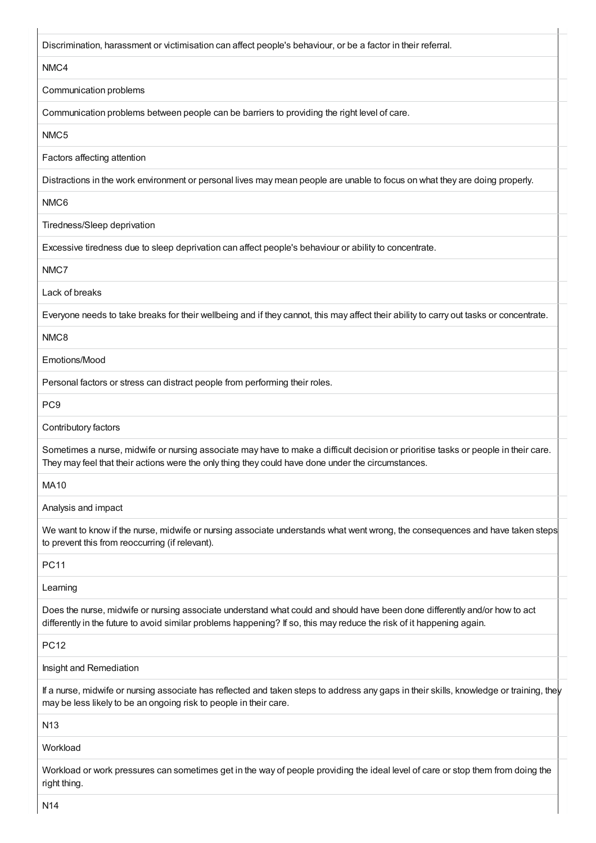Discrimination, harassment or victimisation can affect people's behaviour, or be a factor in their referral.

## NMC4

Communication problems

Communication problems between people can be barriers to providing the right level of care.

NMC5

Factors affecting attention

Distractions in the work environment or personal lives may mean people are unable to focus on what they are doing properly.

NMC6

Tiredness/Sleep deprivation

Excessive tiredness due to sleep deprivation can affect people's behaviour or ability to concentrate.

NMC7

Lack of breaks

Everyone needs to take breaks for their wellbeing and if they cannot, this may affect their ability to carry out tasks or concentrate.

## NMC8

Emotions/Mood

Personal factors or stress can distract people from performing their roles.

PC9

Contributory factors

Sometimes a nurse, midwife or nursing associate may have to make a difficult decision or prioritise tasks or people in their care. They may feel that their actions were the only thing they could have done under the circumstances.

MA10

Analysis and impact

We want to know if the nurse, midwife or nursing associate understands what went wrong, the consequences and have taken steps to prevent this from reoccurring (if relevant).

PC11

Learning

Does the nurse, midwife or nursing associate understand what could and should have been done differently and/or how to act differently in the future to avoid similar problems happening? If so, this may reduce the risk of it happening again.

PC12

Insight and Remediation

If a nurse, midwife or nursing associate has reflected and taken steps to address any gaps in their skills, knowledge or training, they may be less likely to be an ongoing risk to people in their care.

N13

Workload

Workload or work pressures can sometimes get in the way of people providing the ideal level of care or stop them from doing the right thing.